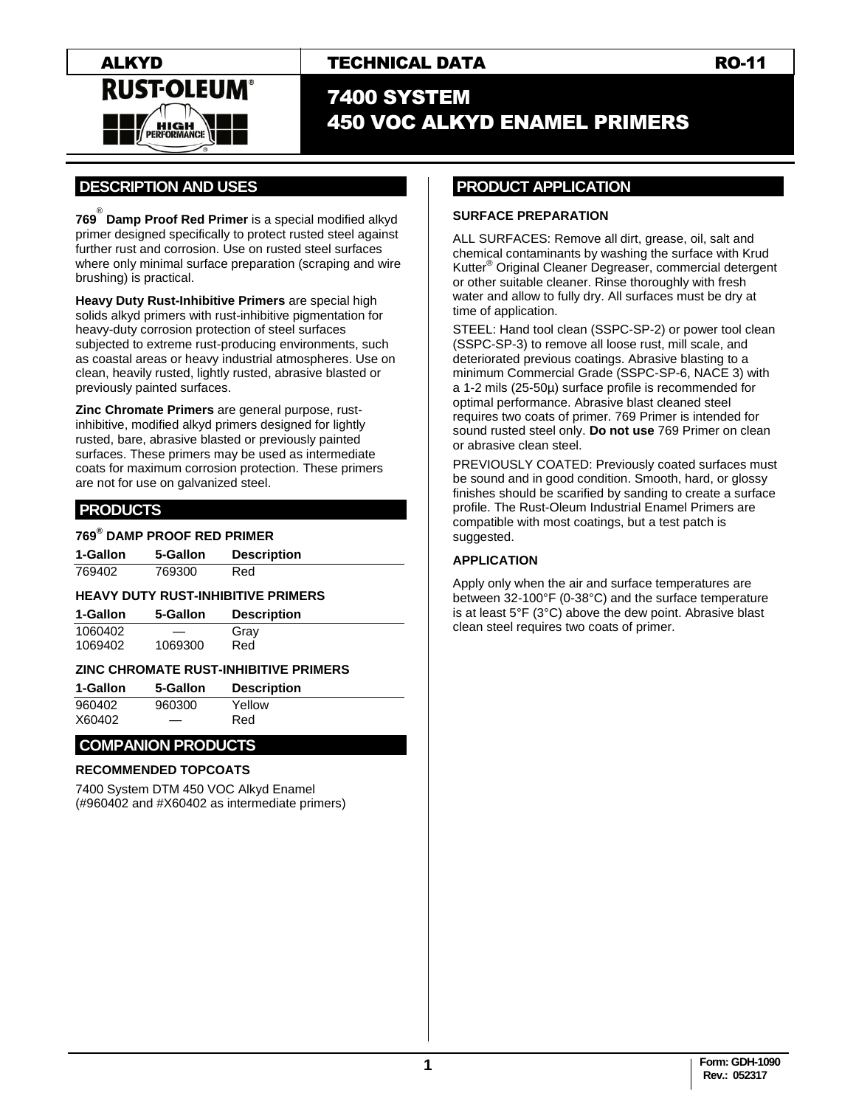

# 7400 SYSTEM 450 VOC ALKYD ENAMEL PRIMERS

# **.DESCRIPTION AND USES .**

**769** ® **Damp Proof Red Primer** is a special modified alkyd primer designed specifically to protect rusted steel against further rust and corrosion. Use on rusted steel surfaces where only minimal surface preparation (scraping and wire brushing) is practical.

**Heavy Duty Rust-Inhibitive Primers** are special high solids alkyd primers with rust-inhibitive pigmentation for heavy-duty corrosion protection of steel surfaces subjected to extreme rust-producing environments, such as coastal areas or heavy industrial atmospheres. Use on clean, heavily rusted, lightly rusted, abrasive blasted or previously painted surfaces.

**Zinc Chromate Primers** are general purpose, rustinhibitive, modified alkyd primers designed for lightly rusted, bare, abrasive blasted or previously painted surfaces. These primers may be used as intermediate coats for maximum corrosion protection. These primers are not for use on galvanized steel.

# **.PRODUCTS .**

#### **769® DAMP PROOF RED PRIMER**

| 1-Gallon | 5-Gallon | <b>Description</b> |
|----------|----------|--------------------|
| 769402   | 769300   | Red                |

#### **HEAVY DUTY RUST-INHIBITIVE PRIMERS**

| 1-Gallon | 5-Gallon | <b>Description</b> |
|----------|----------|--------------------|
| 1060402  | __       | Gray               |

| 1069402 | 1069300 | Red |
|---------|---------|-----|
|         |         |     |

## **ZINC CHROMATE RUST-INHIBITIVE PRIMERS**

| 1-Gallon | 5-Gallon | <b>Description</b> |
|----------|----------|--------------------|
| 960402   | 960300   | Yellow             |
| X60402   | —        | Red                |

## **COMPANION PRODUCTS .**

#### **RECOMMENDED TOPCOATS**

7400 System DTM 450 VOC Alkyd Enamel (#960402 and #X60402 as intermediate primers)

# **PRODUCT APPLICATION .**

#### **SURFACE PREPARATION**

ALL SURFACES: Remove all dirt, grease, oil, salt and chemical contaminants by washing the surface with Krud Kutter® Original Cleaner Degreaser, commercial detergent or other suitable cleaner. Rinse thoroughly with fresh water and allow to fully dry. All surfaces must be dry at time of application.

STEEL: Hand tool clean (SSPC-SP-2) or power tool clean (SSPC-SP-3) to remove all loose rust, mill scale, and deteriorated previous coatings. Abrasive blasting to a minimum Commercial Grade (SSPC-SP-6, NACE 3) with a 1-2 mils (25-50µ) surface profile is recommended for optimal performance. Abrasive blast cleaned steel requires two coats of primer. 769 Primer is intended for sound rusted steel only. **Do not use** 769 Primer on clean or abrasive clean steel.

PREVIOUSLY COATED: Previously coated surfaces must be sound and in good condition. Smooth, hard, or glossy finishes should be scarified by sanding to create a surface profile. The Rust-Oleum Industrial Enamel Primers are compatible with most coatings, but a test patch is suggested.

#### **APPLICATION**

Apply only when the air and surface temperatures are between 32-100°F (0-38°C) and the surface temperature is at least 5°F (3°C) above the dew point. Abrasive blast clean steel requires two coats of primer.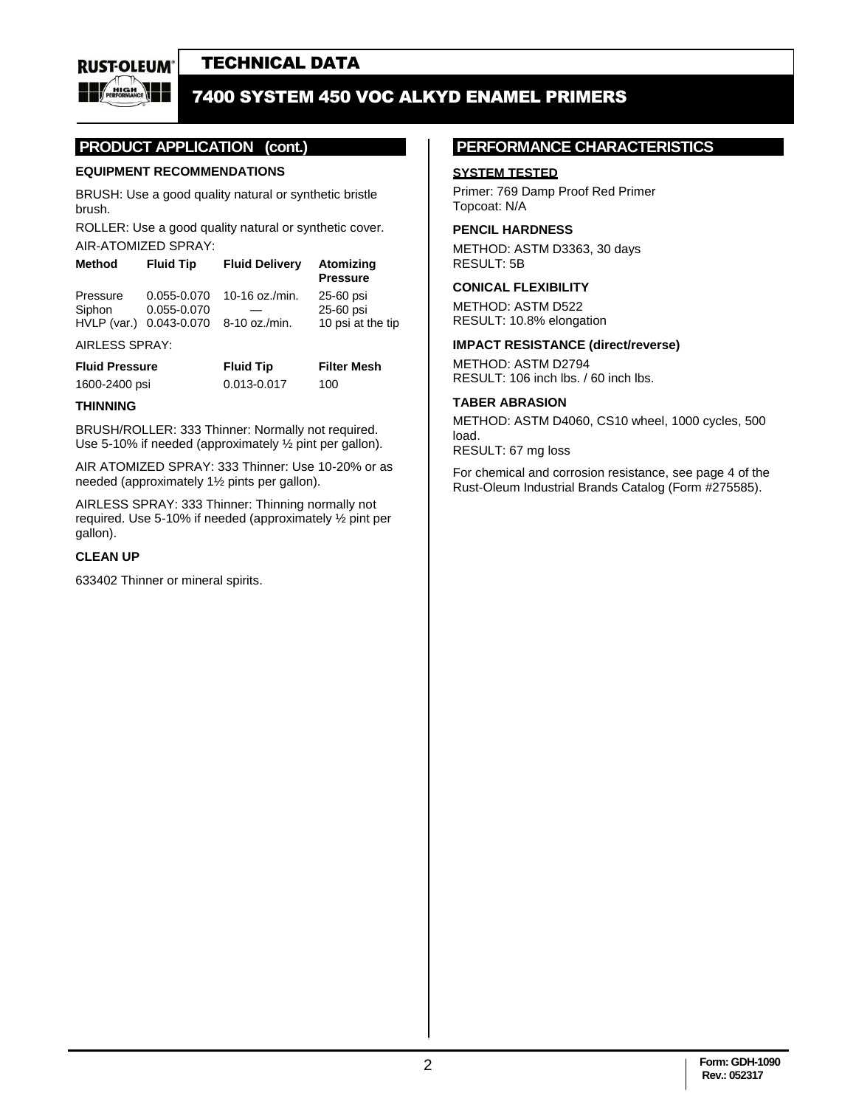**RUST-OLEUM** 

# TECHNICAL DATA

# **FOR 1400 SYSTEM 450 VOC ALKYD ENAMEL PRIMERS**

# **PRODUCT APPLICATION (cont.)**

### **EQUIPMENT RECOMMENDATIONS**

BRUSH: Use a good quality natural or synthetic bristle brush.

ROLLER: Use a good quality natural or synthetic cover. AIR-ATOMIZED SPRAY:

| <b>Fluid Tip</b>        | <b>Fluid Delivery</b> | Atomizing<br><b>Pressure</b> |
|-------------------------|-----------------------|------------------------------|
| 0.055-0.070             | 10-16 oz./min.        | 25-60 psi                    |
| 0.055-0.070             |                       | 25-60 psi                    |
| HVLP (var.) 0.043-0.070 |                       | 10 psi at the tip            |
|                         |                       | 8-10 oz./min.                |

#### AIRLESS SPRAY:

| <b>Fluid Pressure</b> | <b>Fluid Tip</b> | <b>Filter Mesh</b> |
|-----------------------|------------------|--------------------|
| 1600-2400 psi         | 0.013-0.017      | 100                |

#### **THINNING**

BRUSH/ROLLER: 333 Thinner: Normally not required. Use 5-10% if needed (approximately ½ pint per gallon).

AIR ATOMIZED SPRAY: 333 Thinner: Use 10-20% or as needed (approximately 1½ pints per gallon).

AIRLESS SPRAY: 333 Thinner: Thinning normally not required. Use 5-10% if needed (approximately ½ pint per gallon).

#### **CLEAN UP**

633402 Thinner or mineral spirits.

## **PERFORMANCE CHARACTERISTICS .**

#### **SYSTEM TESTED**

Primer: 769 Damp Proof Red Primer Topcoat: N/A

#### **PENCIL HARDNESS**

METHOD: ASTM D3363, 30 days RESULT: 5B

#### **CONICAL FLEXIBILITY**

METHOD: ASTM D522 RESULT: 10.8% elongation

#### **IMPACT RESISTANCE (direct/reverse)**

METHOD: ASTM D2794 RESULT: 106 inch lbs. / 60 inch lbs.

#### **TABER ABRASION**

METHOD: ASTM D4060, CS10 wheel, 1000 cycles, 500 load. RESULT: 67 mg loss

For chemical and corrosion resistance, see page 4 of the Rust-Oleum Industrial Brands Catalog (Form #275585).